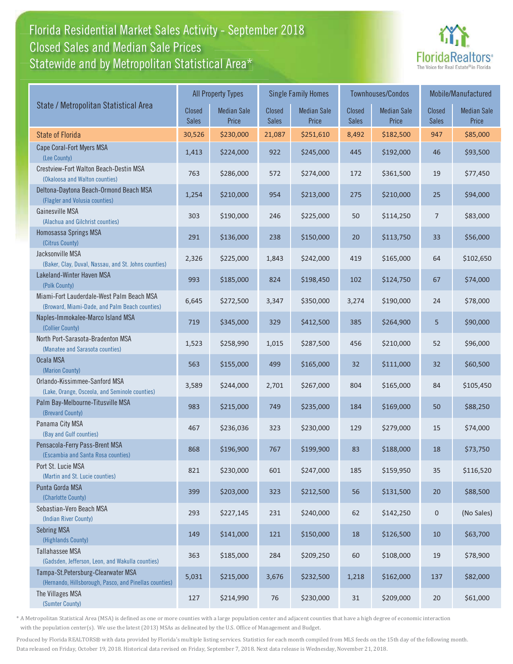## Florida Residential Market Sales Activity - September 2018 Florida Residential Market Sales Activity Statewide and by Metropolitan Statistical Area $^{\star}$ Closed Sales and Median Sale Prices



|                                                                                              | <b>All Property Types</b> |                             |                               | <b>Single Family Homes</b>  |                        | Townhouses/Condos           | Mobile/Manufactured    |                             |
|----------------------------------------------------------------------------------------------|---------------------------|-----------------------------|-------------------------------|-----------------------------|------------------------|-----------------------------|------------------------|-----------------------------|
| State / Metropolitan Statistical Area                                                        | Closed<br><b>Sales</b>    | <b>Median Sale</b><br>Price | <b>Closed</b><br><b>Sales</b> | <b>Median Sale</b><br>Price | Closed<br><b>Sales</b> | <b>Median Sale</b><br>Price | Closed<br><b>Sales</b> | <b>Median Sale</b><br>Price |
| <b>State of Florida</b>                                                                      | 30,526                    | \$230,000                   | 21,087                        | \$251,610                   | 8,492                  | \$182,500                   | 947                    | \$85,000                    |
| Cape Coral-Fort Myers MSA<br>(Lee County)                                                    | 1,413                     | \$224,000                   | 922                           | \$245,000                   | 445                    | \$192,000                   | 46                     | \$93,500                    |
| Crestview-Fort Walton Beach-Destin MSA<br>(Okaloosa and Walton counties)                     | 763                       | \$286,000                   | 572                           | \$274,000                   | 172                    | \$361,500                   | 19                     | \$77,450                    |
| Deltona-Daytona Beach-Ormond Beach MSA<br>(Flagler and Volusia counties)                     | 1,254                     | \$210,000                   | 954                           | \$213,000                   | 275                    | \$210,000                   | 25                     | \$94,000                    |
| Gainesville MSA<br>(Alachua and Gilchrist counties)                                          | 303                       | \$190,000                   | 246                           | \$225,000                   | 50                     | \$114,250                   | $\overline{7}$         | \$83,000                    |
| Homosassa Springs MSA<br>(Citrus County)                                                     | 291                       | \$136,000                   | 238                           | \$150,000                   | 20                     | \$113,750                   | 33                     | \$56,000                    |
| Jacksonville MSA<br>(Baker, Clay, Duval, Nassau, and St. Johns counties)                     | 2,326                     | \$225,000                   | 1,843                         | \$242,000                   | 419                    | \$165,000                   | 64                     | \$102,650                   |
| Lakeland-Winter Haven MSA<br>(Polk County)                                                   | 993                       | \$185,000                   | 824                           | \$198,450                   | 102                    | \$124,750                   | 67                     | \$74,000                    |
| Miami-Fort Lauderdale-West Palm Beach MSA<br>(Broward, Miami-Dade, and Palm Beach counties)  | 6,645                     | \$272,500                   | 3,347                         | \$350,000                   | 3,274                  | \$190,000                   | 24                     | \$78,000                    |
| Naples-Immokalee-Marco Island MSA<br>(Collier County)                                        | 719                       | \$345,000                   | 329                           | \$412,500                   | 385                    | \$264,900                   | 5                      | \$90,000                    |
| North Port-Sarasota-Bradenton MSA<br>(Manatee and Sarasota counties)                         | 1,523                     | \$258,990                   | 1,015                         | \$287,500                   | 456                    | \$210,000                   | 52                     | \$96,000                    |
| Ocala MSA<br>(Marion County)                                                                 | 563                       | \$155,000                   | 499                           | \$165,000                   | 32                     | \$111,000                   | 32                     | \$60,500                    |
| Orlando-Kissimmee-Sanford MSA<br>(Lake, Orange, Osceola, and Seminole counties)              | 3,589                     | \$244,000                   | 2,701                         | \$267,000                   | 804                    | \$165,000                   | 84                     | \$105,450                   |
| Palm Bay-Melbourne-Titusville MSA<br>(Brevard County)                                        | 983                       | \$215,000                   | 749                           | \$235,000                   | 184                    | \$169,000                   | 50                     | \$88,250                    |
| Panama City MSA<br>(Bay and Gulf counties)                                                   | 467                       | \$236,036                   | 323                           | \$230,000                   | 129                    | \$279,000                   | 15                     | \$74,000                    |
| Pensacola-Ferry Pass-Brent MSA<br>(Escambia and Santa Rosa counties)                         | 868                       | \$196,900                   | 767                           | \$199,900                   | 83                     | \$188,000                   | 18                     | \$73,750                    |
| Port St. Lucie MSA<br>(Martin and St. Lucie counties)                                        | 821                       | \$230,000                   | 601                           | \$247,000                   | 185                    | \$159,950                   | 35                     | \$116,520                   |
| Punta Gorda MSA<br>(Charlotte County)                                                        | 399                       | \$203,000                   | 323                           | \$212,500                   | 56                     | \$131,500                   | 20                     | \$88,500                    |
| Sebastian-Vero Beach MSA<br>(Indian River County)                                            | 293                       | \$227,145                   | 231                           | \$240,000                   | 62                     | \$142,250                   | $\pmb{0}$              | (No Sales)                  |
| <b>Sebring MSA</b><br>(Highlands County)                                                     | 149                       | \$141,000                   | 121                           | \$150,000                   | $18\,$                 | \$126,500                   | 10                     | \$63,700                    |
| Tallahassee MSA<br>(Gadsden, Jefferson, Leon, and Wakulla counties)                          | 363                       | \$185,000                   | 284                           | \$209,250                   | 60                     | \$108,000                   | 19                     | \$78,900                    |
| Tampa-St.Petersburg-Clearwater MSA<br>(Hernando, Hillsborough, Pasco, and Pinellas counties) | 5,031                     | \$215,000                   | 3,676                         | \$232,500                   | 1,218                  | \$162,000                   | 137                    | \$82,000                    |
| The Villages MSA<br>(Sumter County)                                                          | 127                       | \$214,990                   | 76                            | \$230,000                   | $31\,$                 | \$209,000                   | 20                     | \$61,000                    |

\* A Metropolitan Statistical Area (MSA) is defined as one or more counties with a large population center and adjacent counties that have a high degree of economic interaction with the population center(s). We use the latest (2013) MSAs as delineated by the U.S. Office of Management and Budget.

Produced by Florida REALTORS® with data provided by Florida's multiple listing services. Statistics for each month compiled from MLS feeds on the 15th day of the following month. Data released on Friday, October 19, 2018. Historical data revised on Friday, September 7, 2018. Next data release is Wednesday, November 21, 2018.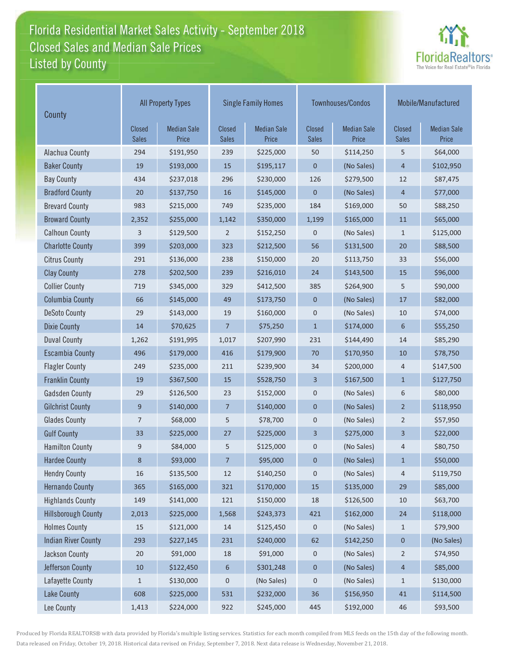## Florida Residential Market Sales Activity - September 2018 Florida Residential Market Sales Activity Listed by County Closed Sales and Median Sale Prices



| County                     | <b>All Property Types</b> |                             |                        | <b>Single Family Homes</b>  |                        | Townhouses/Condos           | Mobile/Manufactured    |                             |
|----------------------------|---------------------------|-----------------------------|------------------------|-----------------------------|------------------------|-----------------------------|------------------------|-----------------------------|
|                            | Closed<br><b>Sales</b>    | <b>Median Sale</b><br>Price | Closed<br><b>Sales</b> | <b>Median Sale</b><br>Price | Closed<br><b>Sales</b> | <b>Median Sale</b><br>Price | Closed<br><b>Sales</b> | <b>Median Sale</b><br>Price |
| Alachua County             | 294                       | \$191,950                   | 239                    | \$225,000                   | 50                     | \$114,250                   | 5                      | \$64,000                    |
| <b>Baker County</b>        | 19                        | \$193,000                   | 15                     | \$195,117                   | $\mathbf 0$            | (No Sales)                  | $\overline{4}$         | \$102,950                   |
| <b>Bay County</b>          | 434                       | \$237,018                   | 296                    | \$230,000                   | 126                    | \$279,500                   | 12                     | \$87,475                    |
| <b>Bradford County</b>     | 20                        | \$137,750                   | 16                     | \$145,000                   | $\mathbf{0}$           | (No Sales)                  | $\overline{4}$         | \$77,000                    |
| <b>Brevard County</b>      | 983                       | \$215,000                   | 749                    | \$235,000                   | 184                    | \$169,000                   | 50                     | \$88,250                    |
| <b>Broward County</b>      | 2,352                     | \$255,000                   | 1,142                  | \$350,000                   | 1,199                  | \$165,000                   | 11                     | \$65,000                    |
| <b>Calhoun County</b>      | 3                         | \$129,500                   | 2                      | \$152,250                   | $\mathbf 0$            | (No Sales)                  | $\mathbf{1}$           | \$125,000                   |
| <b>Charlotte County</b>    | 399                       | \$203,000                   | 323                    | \$212,500                   | 56                     | \$131,500                   | 20                     | \$88,500                    |
| <b>Citrus County</b>       | 291                       | \$136,000                   | 238                    | \$150,000                   | 20                     | \$113,750                   | 33                     | \$56,000                    |
| <b>Clay County</b>         | 278                       | \$202,500                   | 239                    | \$216,010                   | 24                     | \$143,500                   | 15                     | \$96,000                    |
| <b>Collier County</b>      | 719                       | \$345,000                   | 329                    | \$412,500                   | 385                    | \$264,900                   | 5                      | \$90,000                    |
| <b>Columbia County</b>     | 66                        | \$145,000                   | 49                     | \$173,750                   | $\mathbf{0}$           | (No Sales)                  | $17$                   | \$82,000                    |
| <b>DeSoto County</b>       | 29                        | \$143,000                   | 19                     | \$160,000                   | $\boldsymbol{0}$       | (No Sales)                  | 10                     | \$74,000                    |
| <b>Dixie County</b>        | 14                        | \$70,625                    | $\overline{7}$         | \$75,250                    | $\mathbf{1}$           | \$174,000                   | 6                      | \$55,250                    |
| <b>Duval County</b>        | 1,262                     | \$191,995                   | 1,017                  | \$207,990                   | 231                    | \$144,490                   | 14                     | \$85,290                    |
| <b>Escambia County</b>     | 496                       | \$179,000                   | 416                    | \$179,900                   | 70                     | \$170,950                   | 10                     | \$78,750                    |
| <b>Flagler County</b>      | 249                       | \$235,000                   | 211                    | \$239,900                   | 34                     | \$200,000                   | 4                      | \$147,500                   |
| <b>Franklin County</b>     | 19                        | \$367,500                   | 15                     | \$528,750                   | $\overline{3}$         | \$167,500                   | $\mathbf{1}$           | \$127,750                   |
| <b>Gadsden County</b>      | 29                        | \$126,500                   | 23                     | \$152,000                   | $\mathbf 0$            | (No Sales)                  | 6                      | \$80,000                    |
| <b>Gilchrist County</b>    | 9                         | \$140,000                   | $\overline{7}$         | \$140,000                   | $\mathbf 0$            | (No Sales)                  | $\overline{2}$         | \$118,950                   |
| <b>Glades County</b>       | $\overline{7}$            | \$68,000                    | 5                      | \$78,700                    | $\mathbf 0$            | (No Sales)                  | $\overline{2}$         | \$57,950                    |
| <b>Gulf County</b>         | 33                        | \$225,000                   | 27                     | \$225,000                   | 3                      | \$275,000                   | 3                      | \$22,000                    |
| <b>Hamilton County</b>     | 9                         | \$84,000                    | 5                      | \$125,000                   | $\mathbf 0$            | (No Sales)                  | 4                      | \$80,750                    |
| <b>Hardee County</b>       | 8                         | \$93,000                    | $\overline{7}$         | \$95,000                    | $\pmb{0}$              | (No Sales)                  | 1                      | \$50,000                    |
| <b>Hendry County</b>       | 16                        | \$135,500                   | $12\,$                 | \$140,250                   | $\pmb{0}$              | (No Sales)                  | 4                      | \$119,750                   |
| <b>Hernando County</b>     | 365                       | \$165,000                   | 321                    | \$170,000                   | 15                     | \$135,000                   | 29                     | \$85,000                    |
| <b>Highlands County</b>    | 149                       | \$141,000                   | 121                    | \$150,000                   | 18                     | \$126,500                   | $10$                   | \$63,700                    |
| <b>Hillsborough County</b> | 2,013                     | \$225,000                   | 1,568                  | \$243,373                   | 421                    | \$162,000                   | 24                     | \$118,000                   |
| <b>Holmes County</b>       | 15                        | \$121,000                   | 14                     | \$125,450                   | 0                      | (No Sales)                  | $\mathbf{1}$           | \$79,900                    |
| <b>Indian River County</b> | 293                       | \$227,145                   | 231                    | \$240,000                   | 62                     | \$142,250                   | $\pmb{0}$              | (No Sales)                  |
| Jackson County             | 20                        | \$91,000                    | 18                     | \$91,000                    | 0                      | (No Sales)                  | $\overline{2}$         | \$74,950                    |
| Jefferson County           | $10$                      | \$122,450                   | $\boldsymbol{6}$       | \$301,248                   | $\mathbf 0$            | (No Sales)                  | 4                      | \$85,000                    |
| Lafayette County           | $1\,$                     | \$130,000                   | $\pmb{0}$              | (No Sales)                  | 0                      | (No Sales)                  | $\mathbf{1}$           | \$130,000                   |
| <b>Lake County</b>         | 608                       | \$225,000                   | 531                    | \$232,000                   | 36                     | \$156,950                   | $41\,$                 | \$114,500                   |
| Lee County                 | 1,413                     | \$224,000                   | 922                    | \$245,000                   | 445                    | \$192,000                   | 46                     | \$93,500                    |

Produced by Florida REALTORS® with data provided by Florida's multiple listing services. Statistics for each month compiled from MLS feeds on the 15th day of the following month. Data released on Friday, October 19, 2018. Historical data revised on Friday, September 7, 2018. Next data release is Wednesday, November 21, 2018.